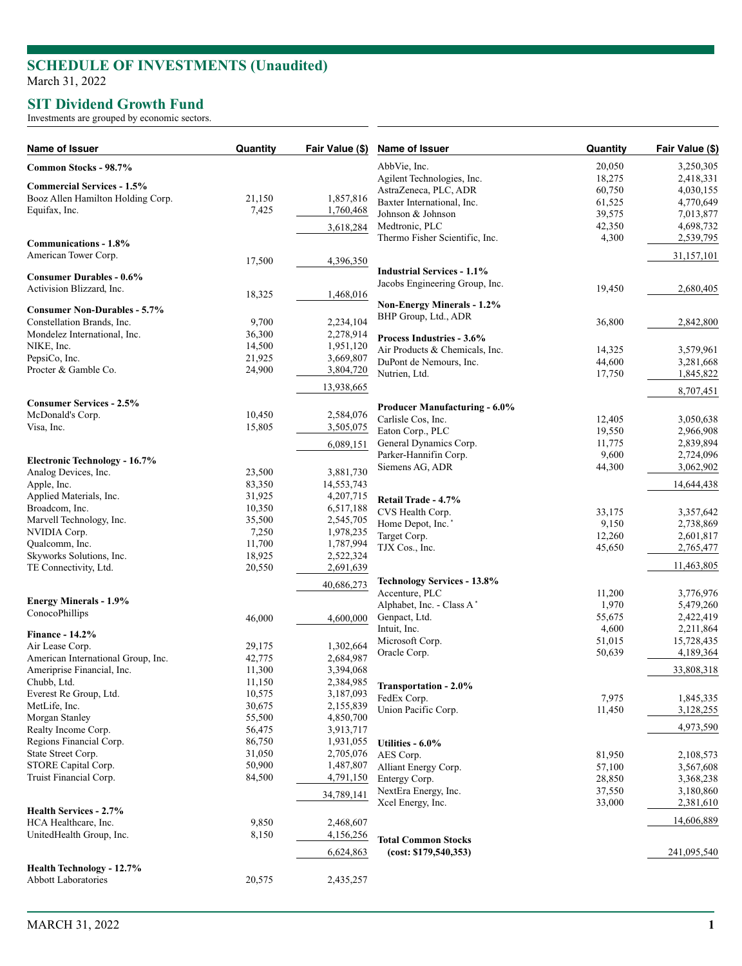## **SCHEDULE OF INVESTMENTS (Unaudited )** March 31, 2022

## **SIT Dividend Growth Fund**

Investments are grouped by economic sectors.

| Name of Issuer                       | Quantity | Fair Value (\$) | Name of Issuer                     | Quantity | Fair Value (\$) |
|--------------------------------------|----------|-----------------|------------------------------------|----------|-----------------|
| Common Stocks - 98.7%                |          |                 | AbbVie, Inc.                       | 20,050   | 3,250,305       |
|                                      |          |                 | Agilent Technologies, Inc.         | 18,275   | 2,418,331       |
| <b>Commercial Services - 1.5%</b>    |          |                 | AstraZeneca, PLC, ADR              | 60,750   | 4,030,155       |
| Booz Allen Hamilton Holding Corp.    | 21,150   | 1,857,816       | Baxter International, Inc.         | 61,525   | 4,770,649       |
| Equifax, Inc.                        | 7,425    | 1,760,468       | Johnson & Johnson                  | 39,575   | 7,013,877       |
|                                      |          | 3,618,284       | Medtronic, PLC                     | 42,350   | 4,698,732       |
|                                      |          |                 | Thermo Fisher Scientific, Inc.     | 4,300    | 2,539,795       |
| Communications - 1.8%                |          |                 |                                    |          |                 |
| American Tower Corp.                 | 17,500   | 4,396,350       |                                    |          | 31,157,101      |
| <b>Consumer Durables - 0.6%</b>      |          |                 | <b>Industrial Services - 1.1%</b>  |          |                 |
| Activision Blizzard, Inc.            |          |                 | Jacobs Engineering Group, Inc.     | 19,450   | 2,680,405       |
|                                      | 18,325   | 1,468,016       |                                    |          |                 |
| <b>Consumer Non-Durables - 5.7%</b>  |          |                 | <b>Non-Energy Minerals - 1.2%</b>  |          |                 |
| Constellation Brands, Inc.           | 9,700    | 2,234,104       | BHP Group, Ltd., ADR               | 36,800   | 2,842,800       |
| Mondelez International, Inc.         | 36,300   | 2,278,914       |                                    |          |                 |
| NIKE, Inc.                           | 14,500   | 1,951,120       | Process Industries - 3.6%          |          |                 |
| PepsiCo, Inc.                        | 21,925   | 3,669,807       | Air Products & Chemicals, Inc.     | 14,325   | 3,579,961       |
| Procter & Gamble Co.                 | 24,900   | 3,804,720       | DuPont de Nemours, Inc.            | 44,600   | 3,281,668       |
|                                      |          |                 | Nutrien, Ltd.                      | 17,750   | 1,845,822       |
|                                      |          | 13,938,665      |                                    |          | 8,707,451       |
| <b>Consumer Services - 2.5%</b>      |          |                 | Producer Manufacturing - 6.0%      |          |                 |
| McDonald's Corp.                     | 10,450   | 2,584,076       |                                    |          |                 |
| Visa, Inc.                           | 15,805   | 3,505,075       | Carlisle Cos, Inc.                 | 12,405   | 3,050,638       |
|                                      |          |                 | Eaton Corp., PLC                   | 19,550   | 2,966,908       |
|                                      |          | 6,089,151       | General Dynamics Corp.             | 11,775   | 2,839,894       |
| <b>Electronic Technology - 16.7%</b> |          |                 | Parker-Hannifin Corp.              | 9,600    | 2,724,096       |
| Analog Devices, Inc.                 | 23,500   | 3,881,730       | Siemens AG, ADR                    | 44,300   | 3,062,902       |
| Apple, Inc.                          | 83,350   | 14,553,743      |                                    |          | 14,644,438      |
| Applied Materials, Inc.              | 31,925   | 4,207,715       | Retail Trade - 4.7%                |          |                 |
| Broadcom, Inc.                       | 10,350   | 6,517,188       | CVS Health Corp.                   | 33,175   | 3,357,642       |
| Marvell Technology, Inc.             | 35,500   | 2,545,705       | Home Depot, Inc.*                  | 9,150    | 2,738,869       |
| NVIDIA Corp.                         | 7,250    | 1,978,235       | Target Corp.                       | 12,260   | 2,601,817       |
| Qualcomm, Inc.                       | 11,700   | 1,787,994       | TJX Cos., Inc.                     | 45,650   | 2,765,477       |
| Skyworks Solutions, Inc.             | 18,925   | 2,522,324       |                                    |          |                 |
| TE Connectivity, Ltd.                | 20,550   | 2,691,639       |                                    |          | 11,463,805      |
|                                      |          |                 | <b>Technology Services - 13.8%</b> |          |                 |
|                                      |          | 40,686,273      | Accenture, PLC                     | 11,200   | 3,776,976       |
| <b>Energy Minerals - 1.9%</b>        |          |                 | Alphabet, Inc. - Class A*          | 1,970    | 5,479,260       |
| ConocoPhillips                       | 46,000   | 4,600,000       | Genpact, Ltd.                      | 55,675   | 2,422,419       |
|                                      |          |                 | Intuit, Inc.                       | 4,600    | 2,211,864       |
| <b>Finance - 14.2%</b>               |          |                 | Microsoft Corp.                    | 51,015   | 15,728,435      |
| Air Lease Corp.                      | 29,175   | 1,302,664       | Oracle Corp.                       | 50,639   | 4,189,364       |
| American International Group, Inc.   | 42,775   | 2,684,987       |                                    |          |                 |
| Ameriprise Financial, Inc.           | 11,300   | 3,394,068       |                                    |          | 33,808,318      |
| Chubb, Ltd.                          | 11,150   | 2,384,985       | <b>Transportation - 2.0%</b>       |          |                 |
| Everest Re Group, Ltd.               | 10,575   | 3,187,093       | FedEx Corp.                        | 7,975    | 1,845,335       |
| MetLife, Inc.                        | 30,675   | 2,155,839       | Union Pacific Corp.                | 11,450   | 3,128,255       |
| Morgan Stanley                       | 55,500   | 4,850,700       |                                    |          |                 |
| Realty Income Corp.                  | 56,475   | 3,913,717       |                                    |          | 4,973,590       |
| Regions Financial Corp.              | 86,750   | 1,931,055       | Utilities - 6.0%                   |          |                 |
| State Street Corp.                   | 31,050   | 2,705,076       | AES Corp.                          | 81,950   | 2,108,573       |
| STORE Capital Corp.                  | 50,900   | 1,487,807       | Alliant Energy Corp.               | 57,100   | 3,567,608       |
| Truist Financial Corp.               | 84,500   | 4,791,150       | Entergy Corp.                      | 28,850   | 3,368,238       |
|                                      |          | 34,789,141      | NextEra Energy, Inc.               | 37,550   | 3,180,860       |
|                                      |          |                 | Xcel Energy, Inc.                  | 33,000   | 2,381,610       |
| Health Services - 2.7%               |          |                 |                                    |          |                 |
| HCA Healthcare, Inc.                 | 9,850    | 2,468,607       |                                    |          | 14,606,889      |
| UnitedHealth Group, Inc.             | 8,150    | 4,156,256       | <b>Total Common Stocks</b>         |          |                 |
|                                      |          | 6,624,863       | (cost: \$179,540,353)              |          | 241,095,540     |
|                                      |          |                 |                                    |          |                 |
| <b>Health Technology - 12.7%</b>     |          |                 |                                    |          |                 |
| <b>Abbott Laboratories</b>           | 20,575   | 2,435,257       |                                    |          |                 |